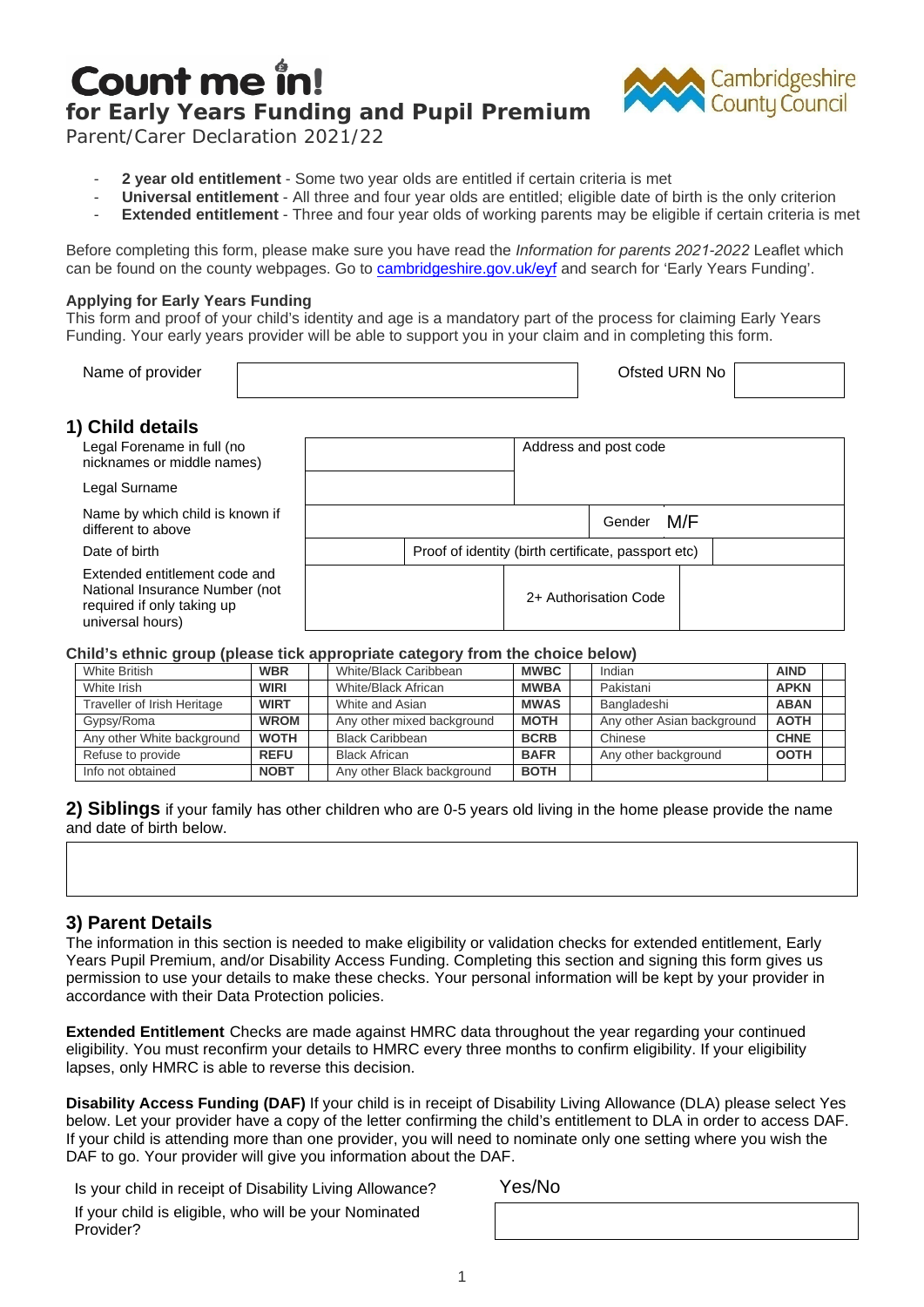# Count me ir **for Early Years Funding and Pupil Premium**



Parent/Carer Declaration 2021/22

- 2 year old entitlement Some two year olds are entitled if certain criteria is met
- **Universal entitlement**  All three and four year olds are entitled; eligible date of birth is the only criterion
- **Extended entitlement** Three and four year olds of working parents may be eligible if certain criteria is met

Before completing this form, please make sure you have read the *Information for parents 2021-2022* Leaflet which can be found on the county webpages. Go t[o cambridgeshire.gov.uk/](http://www.cambridgeshire.gov.uk/eyf)eyf and search for 'Early Years Funding'.

#### **Applying for Early Years Funding**

This form and proof of your child's identity and age is a mandatory part of the process for claiming Early Years Funding. Your early years provider will be able to support you in your claim and in completing this form.

| Name of provider | Ofsted URN No |  |
|------------------|---------------|--|
|                  |               |  |

Address and post code

Gender M/F

## **1) Child details**

Legal Forename in full (no nicknames or middle names)

Legal Surname Name by which child is known if different to above

#### **Child's ethnic group (please tick appropriate category from the choice below)**

| <b>INQUILE DY WILIGHT CHILLER IS NOW THAT</b><br>different to above                                               |             |                                                                                                                                                                                                                                                                                                                                                                                                                                  |             | Gender<br>M/F                                       |             |  |
|-------------------------------------------------------------------------------------------------------------------|-------------|----------------------------------------------------------------------------------------------------------------------------------------------------------------------------------------------------------------------------------------------------------------------------------------------------------------------------------------------------------------------------------------------------------------------------------|-------------|-----------------------------------------------------|-------------|--|
| Date of birth                                                                                                     |             |                                                                                                                                                                                                                                                                                                                                                                                                                                  |             | Proof of identity (birth certificate, passport etc) |             |  |
| Extended entitlement code and<br>National Insurance Number (not<br>required if only taking up<br>universal hours) |             |                                                                                                                                                                                                                                                                                                                                                                                                                                  |             | 2+ Authorisation Code                               |             |  |
|                                                                                                                   |             | Child's ethnic group (please tick appropriate category from the choice below)                                                                                                                                                                                                                                                                                                                                                    |             |                                                     |             |  |
| <b>White British</b>                                                                                              | <b>WBR</b>  | White/Black Caribbean                                                                                                                                                                                                                                                                                                                                                                                                            | <b>MWBC</b> | Indian                                              | <b>AIND</b> |  |
| White Irish                                                                                                       | <b>WIRI</b> | White/Black African                                                                                                                                                                                                                                                                                                                                                                                                              | <b>MWBA</b> | Pakistani                                           | <b>APKN</b> |  |
| Traveller of Irish Heritage                                                                                       | <b>WIRT</b> | White and Asian                                                                                                                                                                                                                                                                                                                                                                                                                  | <b>MWAS</b> | Bangladeshi                                         | <b>ABAN</b> |  |
| Gypsy/Roma                                                                                                        | <b>WROM</b> | Any other mixed background                                                                                                                                                                                                                                                                                                                                                                                                       | <b>MOTH</b> | Any other Asian background                          | <b>AOTH</b> |  |
| Any other White background                                                                                        | <b>WOTH</b> | <b>Black Caribbean</b>                                                                                                                                                                                                                                                                                                                                                                                                           | <b>BCRB</b> | Chinese                                             | <b>CHNE</b> |  |
| Refuse to provide                                                                                                 | <b>REFU</b> | <b>Black African</b>                                                                                                                                                                                                                                                                                                                                                                                                             | <b>BAFR</b> | Any other background                                | <b>OOTH</b> |  |
| Info not obtained                                                                                                 | <b>NOBT</b> | Any other Black background                                                                                                                                                                                                                                                                                                                                                                                                       | <b>BOTH</b> |                                                     |             |  |
| 3) Parent Details                                                                                                 |             | The information in this section is needed to make eligibility or validation checks for extended entitlement, Early<br>ears Pupil Premium, and/or Disability Access Funding. Completing this section and signing this form gives us<br>ermission to use your details to make these checks. Your personal information will be kept by your provider in                                                                             |             |                                                     |             |  |
| ccordance with their Data Protection policies.                                                                    |             | Extended Entitlement Checks are made against HMRC data throughout the year regarding your continued<br>ligibility. You must reconfirm your details to HMRC every three months to confirm eligibility. If your eligibility                                                                                                                                                                                                        |             |                                                     |             |  |
| apses, only HMRC is able to reverse this decision.                                                                |             | Disability Access Funding (DAF) If your child is in receipt of Disability Living Allowance (DLA) please select Yes<br>elow. Let your provider have a copy of the letter confirming the child's entitlement to DLA in order to access DAF<br>f your child is attending more than one provider, you will need to nominate only one setting where you wish the<br>DAF to go. Your provider will give you information about the DAF. |             |                                                     |             |  |
| Is your child in receipt of Disability Living Allowance?                                                          |             |                                                                                                                                                                                                                                                                                                                                                                                                                                  | Yes/No      |                                                     |             |  |

### **3) Parent Details**

Is your child in receipt of Disability Living Allowance? Yes/No If your child is eligible, who will be your Nominated Provider?

1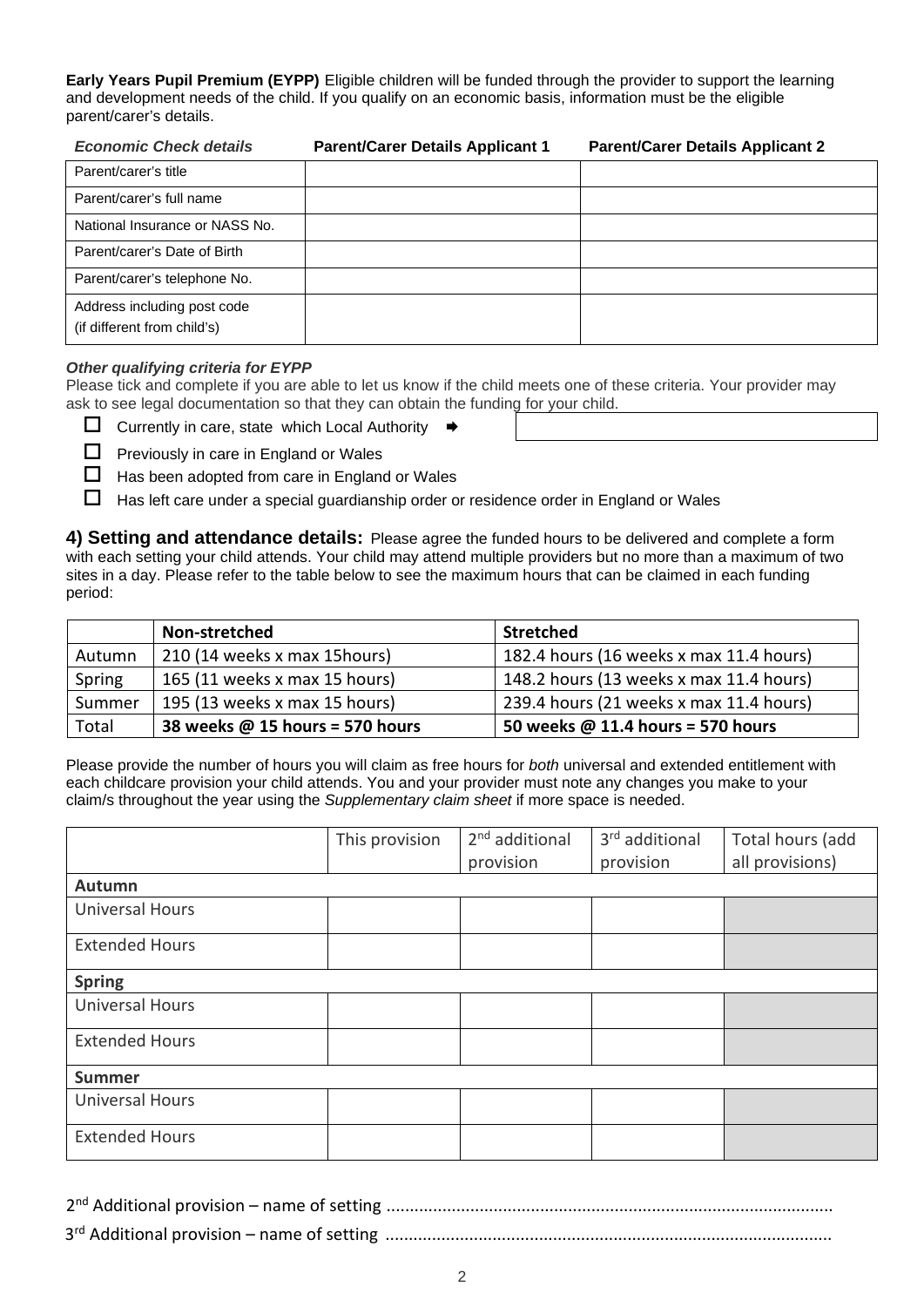**Early Years Pupil Premium (EYPP)** Eligible children will be funded through the provider to support the learning and development needs of the child. If you qualify on an economic basis, information must be the eligible parent/carer's details.

| <b>Economic Check details</b>                              | <b>Parent/Carer Details Applicant 1</b> | <b>Parent/Carer Details Applicant 2</b> |
|------------------------------------------------------------|-----------------------------------------|-----------------------------------------|
| Parent/carer's title                                       |                                         |                                         |
| Parent/carer's full name                                   |                                         |                                         |
| National Insurance or NASS No.                             |                                         |                                         |
| Parent/carer's Date of Birth                               |                                         |                                         |
| Parent/carer's telephone No.                               |                                         |                                         |
| Address including post code<br>(if different from child's) |                                         |                                         |

#### *Other qualifying criteria for EYPP*

Please tick and complete if you are able to let us know if the child meets one of these criteria. Your provider may ask to see legal documentation so that they can obtain the funding for your child.

Currently in care, state which Local Authority  $\Rightarrow$ 

 $\Box$  Previously in care in England or Wales

 $\Box$  Has been adopted from care in England or Wales

 $\Box$  Has left care under a special guardianship order or residence order in England or Wales

**4) Setting and attendance details:** Please agree the funded hours to be delivered and complete a form with each setting your child attends. Your child may attend multiple providers but no more than a maximum of two sites in a day. Please refer to the table below to see the maximum hours that can be claimed in each funding period:

|        | Non-stretched                   | <b>Stretched</b>                        |
|--------|---------------------------------|-----------------------------------------|
| Autumn | 210 (14 weeks x max 15 hours)   | 182.4 hours (16 weeks x max 11.4 hours) |
| Spring | 165 (11 weeks x max 15 hours)   | 148.2 hours (13 weeks x max 11.4 hours) |
| Summer | 195 (13 weeks x max 15 hours)   | 239.4 hours (21 weeks x max 11.4 hours) |
| Total  | 38 weeks @ 15 hours = 570 hours | 50 weeks @ 11.4 hours = 570 hours       |

Please provide the number of hours you will claim as free hours for *both* universal and extended entitlement with each childcare provision your child attends. You and your provider must note any changes you make to your claim/s throughout the year using the *Supplementary claim sheet* if more space is needed.

|                        | This provision | 2 <sup>nd</sup> additional | 3rd additional | Total hours (add |
|------------------------|----------------|----------------------------|----------------|------------------|
|                        |                | provision                  | provision      | all provisions)  |
| Autumn                 |                |                            |                |                  |
| <b>Universal Hours</b> |                |                            |                |                  |
| <b>Extended Hours</b>  |                |                            |                |                  |
| <b>Spring</b>          |                |                            |                |                  |
| <b>Universal Hours</b> |                |                            |                |                  |
| <b>Extended Hours</b>  |                |                            |                |                  |
| <b>Summer</b>          |                |                            |                |                  |
| <b>Universal Hours</b> |                |                            |                |                  |
| <b>Extended Hours</b>  |                |                            |                |                  |

2nd Additional provision – name of setting ................................................................................................ 3rd Additional provision – name of setting ................................................................................................